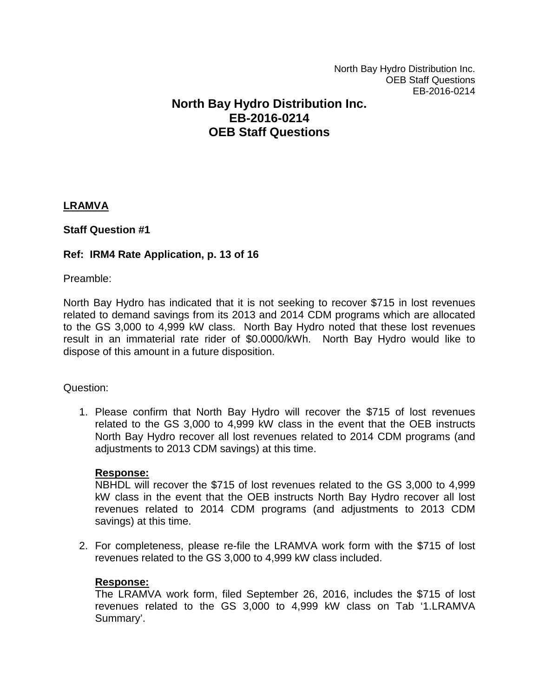# **North Bay Hydro Distribution Inc. EB-2016-0214 OEB Staff Questions**

# **LRAMVA**

# **Staff Question #1**

# **Ref: IRM4 Rate Application, p. 13 of 16**

Preamble:

North Bay Hydro has indicated that it is not seeking to recover \$715 in lost revenues related to demand savings from its 2013 and 2014 CDM programs which are allocated to the GS 3,000 to 4,999 kW class. North Bay Hydro noted that these lost revenues result in an immaterial rate rider of \$0.0000/kWh. North Bay Hydro would like to dispose of this amount in a future disposition.

### Question:

1. Please confirm that North Bay Hydro will recover the \$715 of lost revenues related to the GS 3,000 to 4,999 kW class in the event that the OEB instructs North Bay Hydro recover all lost revenues related to 2014 CDM programs (and adjustments to 2013 CDM savings) at this time.

### **Response:**

NBHDL will recover the \$715 of lost revenues related to the GS 3,000 to 4,999 kW class in the event that the OEB instructs North Bay Hydro recover all lost revenues related to 2014 CDM programs (and adjustments to 2013 CDM savings) at this time.

2. For completeness, please re-file the LRAMVA work form with the \$715 of lost revenues related to the GS 3,000 to 4,999 kW class included.

### **Response:**

The LRAMVA work form, filed September 26, 2016, includes the \$715 of lost revenues related to the GS 3,000 to 4,999 kW class on Tab '1.LRAMVA Summary'.